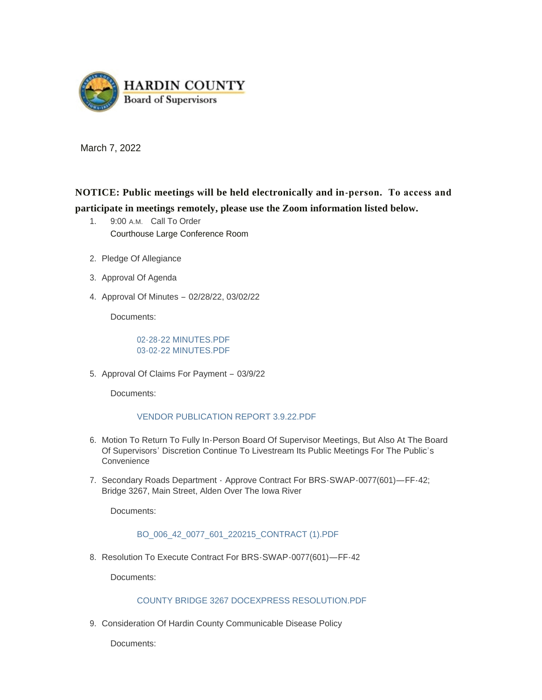

March 7, 2022

**NOTICE: Public meetings will be held electronically and in-person. To access and participate in meetings remotely, please use the Zoom information listed below.**

- 1. 9:00 A.M. Call To Order Courthouse Large Conference Room
- 2. Pledge Of Allegiance
- 3. Approval Of Agenda
- 4. Approval Of Minutes 02/28/22, 03/02/22

Documents:

[02-28-22 MINUTES.PDF](https://www.hardincountyia.gov/AgendaCenter/ViewFile/Item/8539?fileID=6925) [03-02-22 MINUTES.PDF](https://www.hardincountyia.gov/AgendaCenter/ViewFile/Item/8539?fileID=6926)

5. Approval Of Claims For Payment - 03/9/22

Documents:

### [VENDOR PUBLICATION REPORT 3.9.22.PDF](https://www.hardincountyia.gov/AgendaCenter/ViewFile/Item/8540?fileID=6937)

- 6. Motion To Return To Fully In-Person Board Of Supervisor Meetings, But Also At The Board Of Supervisors' Discretion Continue To Livestream Its Public Meetings For The Public's Convenience
- 7. Secondary Roads Department Approve Contract For BRS-SWAP-0077(601)—FF-42; Bridge 3267, Main Street, Alden Over The Iowa River

Documents:

# [BO\\_006\\_42\\_0077\\_601\\_220215\\_CONTRACT \(1\).PDF](https://www.hardincountyia.gov/AgendaCenter/ViewFile/Item/8542?fileID=6927)

8. Resolution To Execute Contract For BRS-SWAP-0077(601)-FF-42

Documents:

### [COUNTY BRIDGE 3267 DOCEXPRESS RESOLUTION.PDF](https://www.hardincountyia.gov/AgendaCenter/ViewFile/Item/8543?fileID=6928)

9. Consideration Of Hardin County Communicable Disease Policy

Documents: